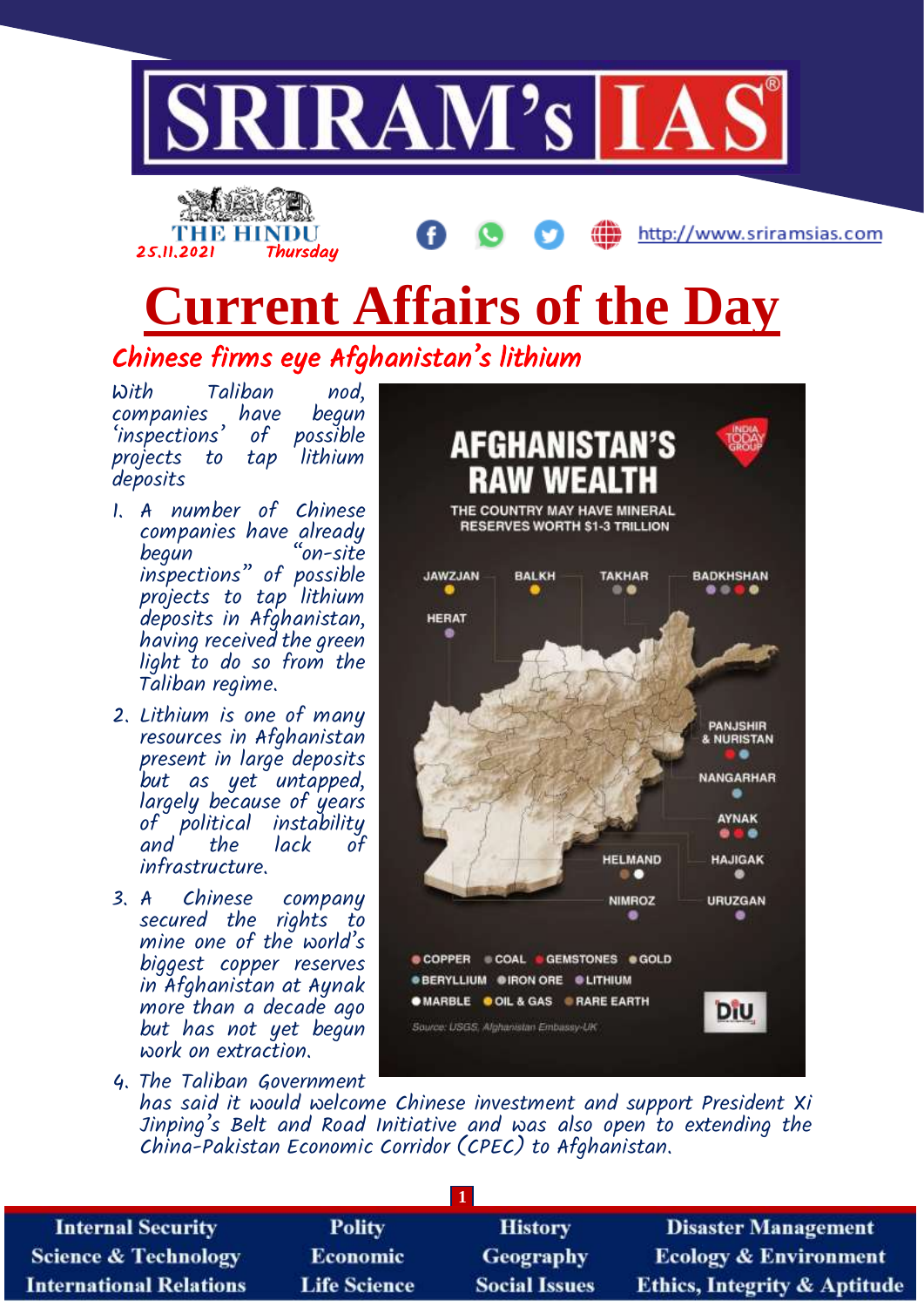



# **Current Affairs of the Day**

Chinese firms eye Afghanistan's lithium

With Taliban nod, companies have begun 'inspections' of possible projects to tap deposits

- 1. A number of Chinese companies have already "on-site inspections" of possible projects to tap lithium deposits in Afghanistan, having received the green light to do so from the Taliban regime.
- 2. Lithium is one of many resources in Afghanistan present in large deposits but as yet untapped, largely because of years of political instability and the lack of infrastructure.
- 3. A Chinese company secured the rights to mine one of the world's biggest copper reserves in Afghanistan at Aynak more than a decade ago but has not yet begun work on extraction.



4. The Taliban Government has said it would welcome Chinese investment and support President Xi Jinping's Belt and Road Initiative and was also open to extending the China-Pakistan Economic Corridor (CPEC) to Afghanistan.

**OMARBLE O OIL & GAS O RARE EARTH** 

Source: USGS, Alghanistan Embassy-UK

DiU

| <b>Internal Security</b>        | <b>Polity</b>       | <b>History</b>       | <b>Disaster Management</b>              |  |
|---------------------------------|---------------------|----------------------|-----------------------------------------|--|
| <b>Science &amp; Technology</b> | <b>Economic</b>     | Geography            | <b>Ecology &amp; Environment</b>        |  |
| <b>International Relations</b>  | <b>Life Science</b> | <b>Social Issues</b> | <b>Ethics, Integrity &amp; Aptitude</b> |  |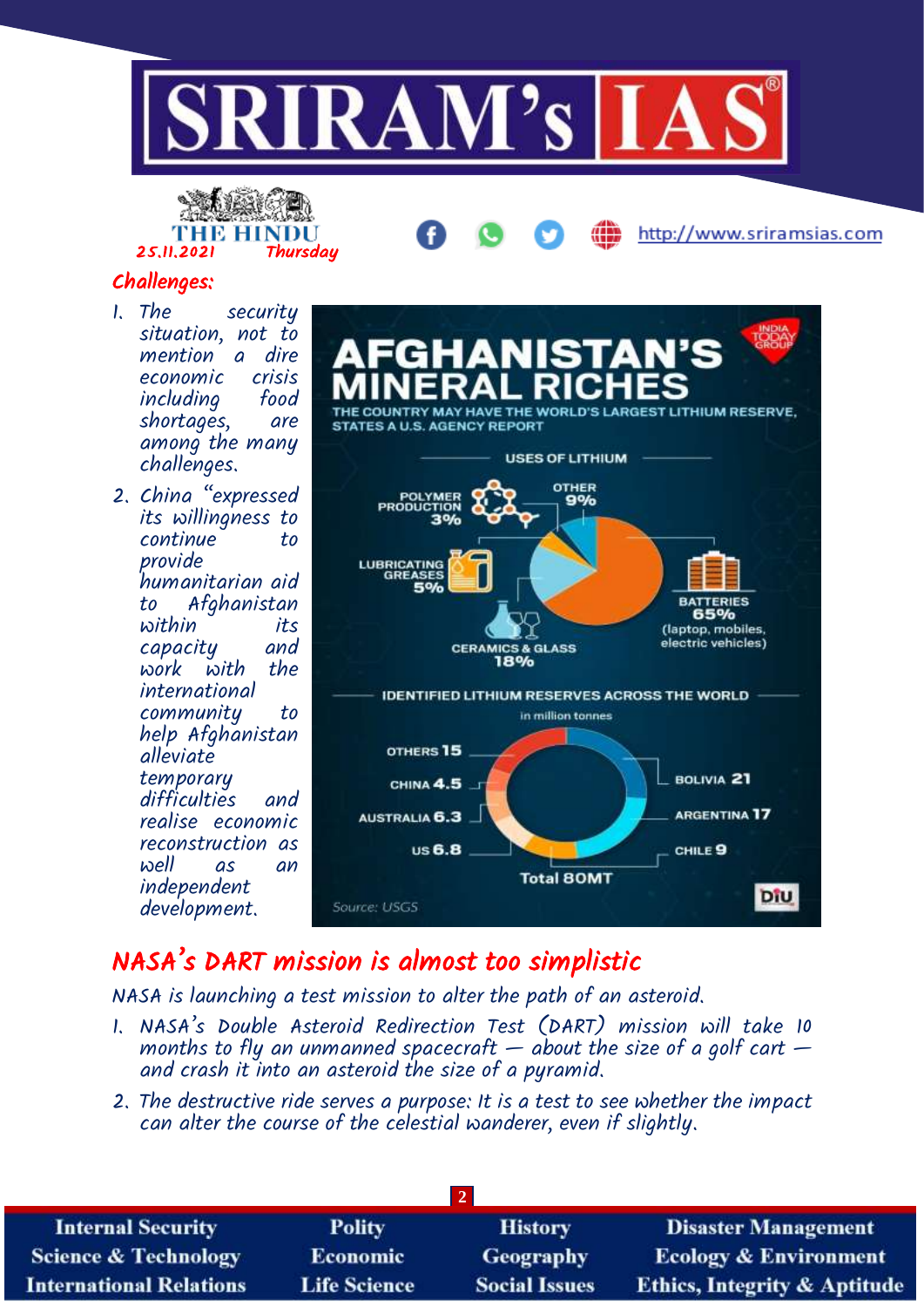





### Challenges:

- 1. The security situation, not to a dire economic crisis including shortages, are among the many challenges.
- 2. China "expressed its willingness to continue to provide humanitarian aid to Afghanistan within its capacity and work with international community to help Afghanistan alleviate temporary difficulties and realise economic reconstruction as well as an independent development.



## NASA's DART mission is almost too simplistic

NASA is launching a test mission to alter the path of an asteroid.

- 1. NASA's Double Asteroid Redirection Test (DART) mission will take 10 months to fly an unmanned spacecraft  $-$  about the size of a golf cart  $$ and crash it into an asteroid the size of a pyramid.
- 2. The destructive ride serves a purpose: It is a test to see whether the impact can alter the course of the celestial wanderer, even if slightly.

| <b>Internal Security</b>        | <b>Polity</b>       | <b>History</b>       | <b>Disaster Management</b>              |  |
|---------------------------------|---------------------|----------------------|-----------------------------------------|--|
| <b>Science &amp; Technology</b> | <b>Economic</b>     | Geography            | <b>Ecology &amp; Environment</b>        |  |
| <b>International Relations</b>  | <b>Life Science</b> | <b>Social Issues</b> | <b>Ethics, Integrity &amp; Aptitude</b> |  |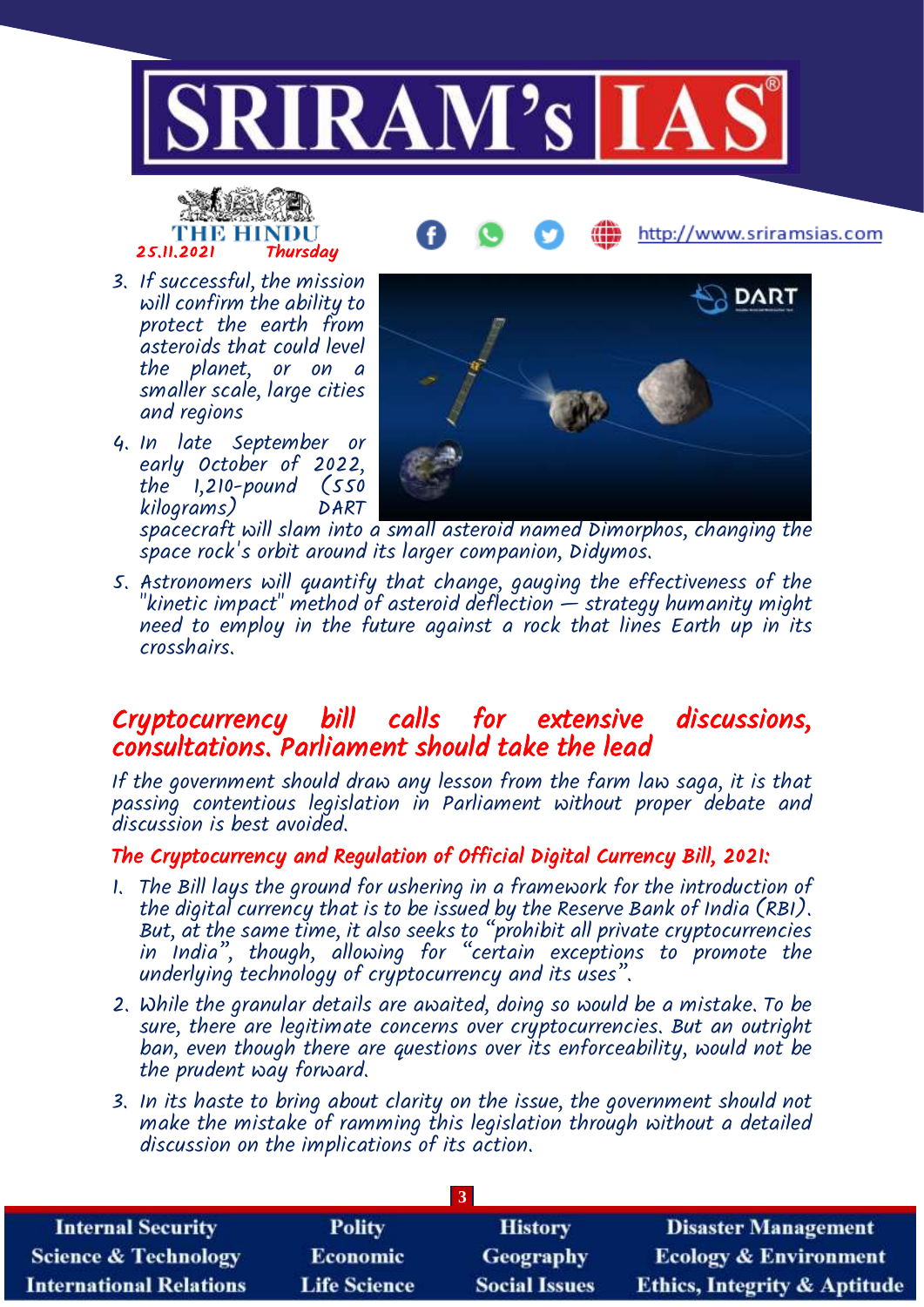

# THE HINDU<br>25.11.2021 Thursday

http://www.sriramsias.com

- 3. If successful, the mission will confirm the ability to protect the earth from asteroids that could level the planet, or on a smaller scale, large cities and regions
- 4. In late September or early October of 2022, the 1,210-pound (550 kilograms) DART



spacecraft will slam into a small asteroid named Dimorphos, changing the space rock's orbit around its larger companion, Didymos.

5. Astronomers will quantify that change, gauging the effectiveness of the "kinetic impact" method of asteroid deflection  $\H-$  strategy humanity might need to employ in the future against a rock that lines Earth up in its crosshairs.

## Cryptocurrency bill calls for extensive discussions, consultations. Parliament should take the lead

If the government should draw any lesson from the farm law saga, it is that passing contentious legislation in Parliament without proper debate and discussion is best avoided.

#### The Cryptocurrency and Regulation of Official Digital Currency Bill, 2021:

- 1. The Bill lays the ground for ushering in a framework for the introduction of the digital currency that is to be issued by the Reserve Bank of India (RBI). But, at the same time, it also seeks to "prohibit all private cryptocurrencies in India", though, allowing for "certain exceptions to promote the underlying technology of cryptocurrency and its uses".
- 2. While the granular details are awaited, doing so would be a mistake. To be sure, there are legitimate concerns over cryptocurrencies. But an outright ban, even though there are questions over its enforceability, would not be the prudent way forward.
- 3. In its haste to bring about clarity on the issue, the government should not make the mistake of ramming this legislation through without a detailed discussion on the implications of its action.

| <b>Internal Security</b>        | Polity              | <b>History</b>       | <b>Disaster Management</b>              |  |
|---------------------------------|---------------------|----------------------|-----------------------------------------|--|
| <b>Science &amp; Technology</b> | Economic            | <b>Geography</b>     | <b>Ecology &amp; Environment</b>        |  |
| <b>International Relations</b>  | <b>Life Science</b> | <b>Social Issues</b> | <b>Ethics, Integrity &amp; Aptitude</b> |  |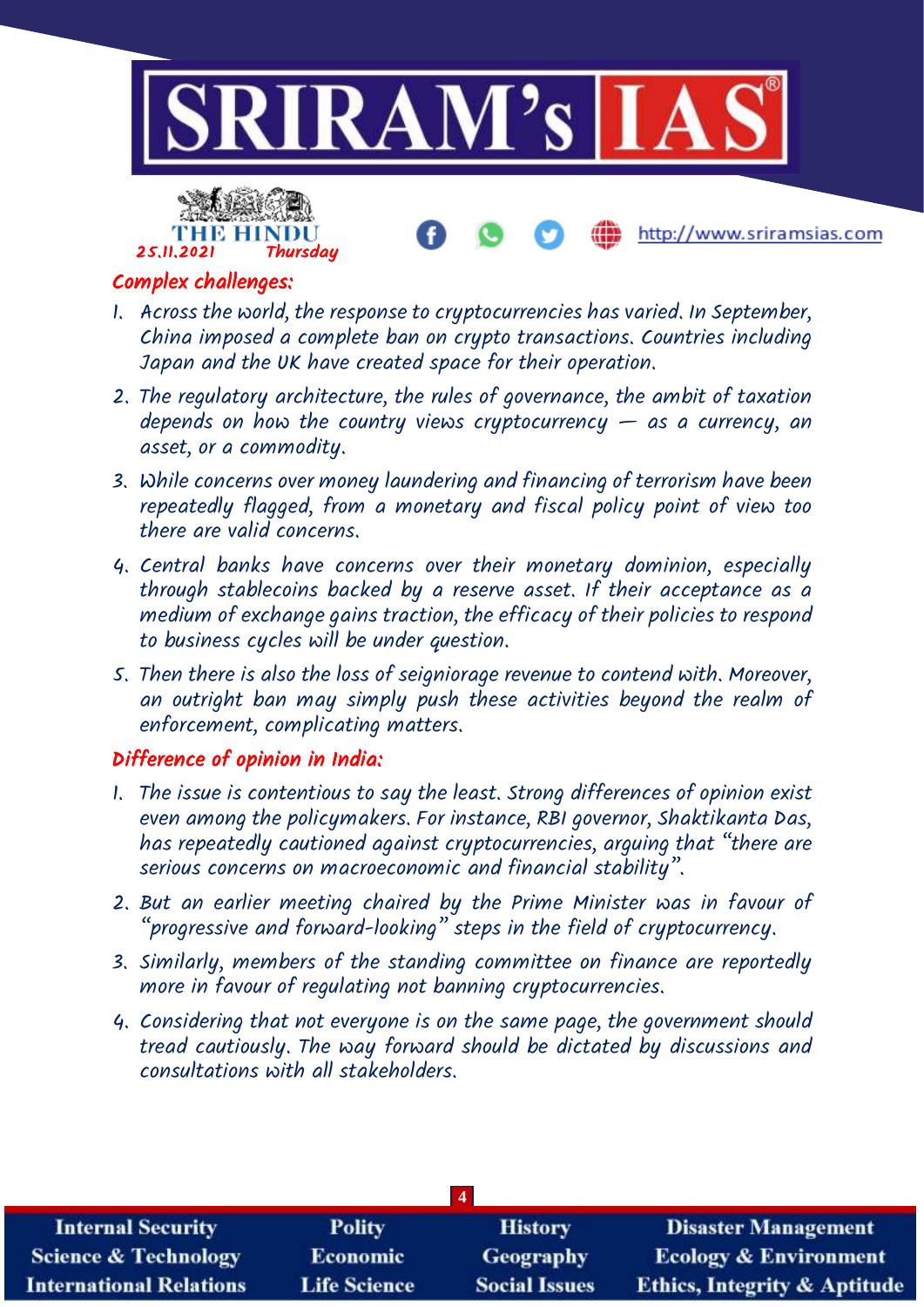



#### Complex challenges:

- 1. Across the world, the response to cryptocurrencies has varied. In September, China imposed a complete ban on crypto transactions. Countries including Japan and the UK have created space for their operation.
- 2. The regulatory architecture, the rules of governance, the ambit of taxation depends on how the country views cryptocurrency  $-$  as a currency, an asset, or a commodity.
- 3. While concerns over money laundering and financing of terrorism have been repeatedly flagged, from a monetary and fiscal policy point of view too there are valid concerns.
- 4. Central banks have concerns over their monetary dominion, especially through stablecoins backed by a reserve asset. If their acceptance as a medium of exchange gains traction, the efficacy of their policies to respond to business cycles will be under question.
- 5. Then there is also the loss of seigniorage revenue to contend with. Moreover, an outright ban may simply push these activities beyond the realm of enforcement, complicating matters.

#### Difference of opinion in India:

- 1. The issue is contentious to say the least. Strong differences of opinion exist even among the policymakers. For instance, RBI governor, Shaktikanta Das, has repeatedly cautioned against cryptocurrencies, arguing that "there are serious concerns on macroeconomic and financial stability".
- 2. But an earlier meeting chaired by the Prime Minister was in favour of "progressive and forward-looking" steps in the field of cryptocurrency.
- 3. Similarly, members of the standing committee on finance are reportedly more in favour of regulating not banning cryptocurrencies.
- 4. Considering that not everyone is on the same page, the government should tread cautiously. The way forward should be dictated by discussions and consultations with all stakeholders.

| <b>Internal Security</b>        | <b>Polity</b>       | <b>History</b>       | <b>Disaster Management</b>              |  |
|---------------------------------|---------------------|----------------------|-----------------------------------------|--|
| <b>Science &amp; Technology</b> | <b>Economic</b>     | <b>Geography</b>     | <b>Ecology &amp; Environment</b>        |  |
| <b>International Relations</b>  | <b>Life Science</b> | <b>Social Issues</b> | <b>Ethics, Integrity &amp; Aptitude</b> |  |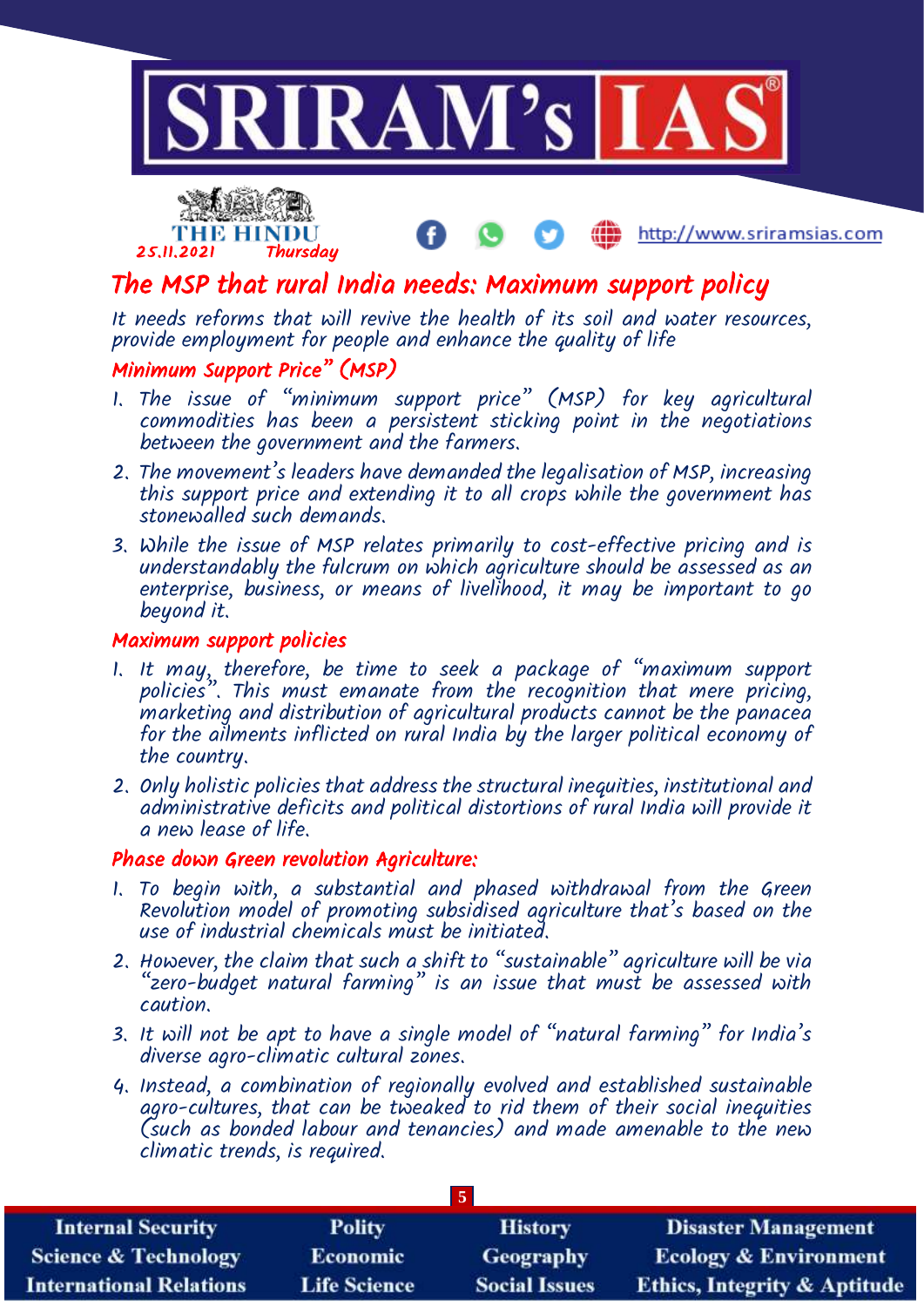



## The MSP that rural India needs: Maximum support policy

It needs reforms that will revive the health of its soil and water resources, provide employment for people and enhance the quality of life

#### Minimum Support Price" (MSP)

- 1. The issue of "minimum support price" (MSP) for key agricultural commodities has been a persistent sticking point in the negotiations between the government and the farmers.
- 2. The movement's leaders have demanded the legalisation of MSP, increasing this support price and extending it to all crops while the government has stonewalled such demands.
- 3. While the issue of MSP relates primarily to cost-effective pricing and is understandably the fulcrum on which agriculture should be assessed as an enterprise, business, or means of livelihood, it may be important to go beyond it.

#### Maximum support policies

- 1. It may, therefore, be time to seek a package of "maximum support policies". This must emanate from the recognition that mere pricing, marketing and distribution of agricultural products cannot be the panacea for the ailments inflicted on rural India by the larger political economy of the country.
- 2. Only holistic policies that address the structural inequities, institutional and administrative deficits and political distortions of rural India will provide it a new lease of life.

#### Phase down Green revolution Agriculture:

- 1. To begin with, a substantial and phased withdrawal from the Green Revolution model of promoting subsidised agriculture that's based on the use of industrial chemicals must be initiated.
- 2. However, the claim that such a shift to "sustainable" agriculture will be via "zero-budget natural farming" is an issue that must be assessed with caution.
- 3. It will not be apt to have a single model of "natural farming" for India's diverse agro-climatic cultural zones.
- 4. Instead, a combination of regionally evolved and established sustainable agro-cultures, that can be tweaked to rid them of their social inequities (such as bonded labour and tenancies) and made amenable to the new climatic trends, is required.

| $\overline{5}$                  |                     |                      |                                         |  |
|---------------------------------|---------------------|----------------------|-----------------------------------------|--|
| <b>Internal Security</b>        | <b>Polity</b>       | <b>History</b>       | <b>Disaster Management</b>              |  |
| <b>Science &amp; Technology</b> | <b>Economic</b>     | <b>Geography</b>     | <b>Ecology &amp; Environment</b>        |  |
| <b>International Relations</b>  | <b>Life Science</b> | <b>Social Issues</b> | <b>Ethics, Integrity &amp; Aptitude</b> |  |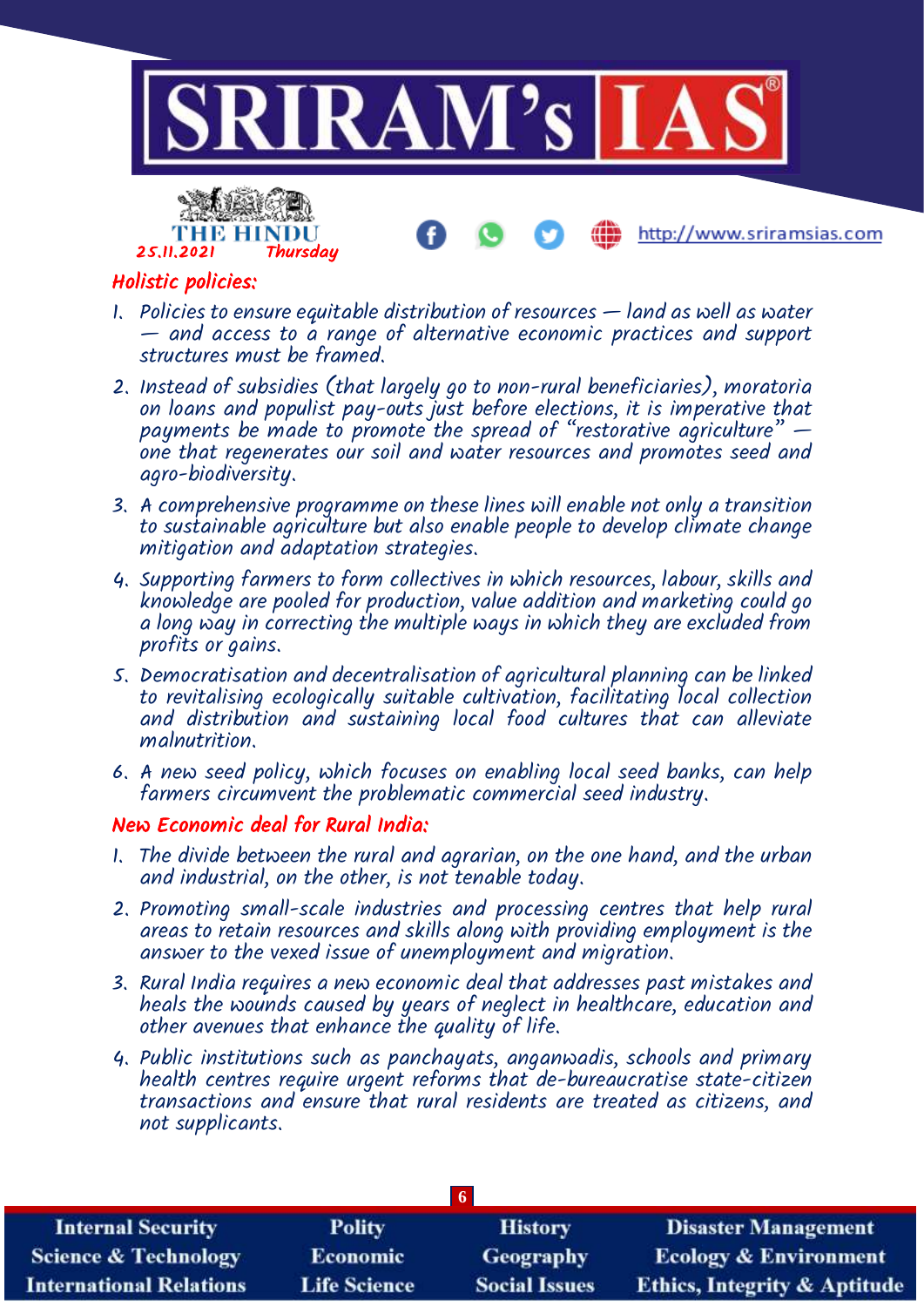



#### Holistic policies:

- 1. Policies to ensure equitable distribution of resources land as well as water — and access to a range of alternative economic practices and support structures must be framed.
- 2. Instead of subsidies (that largely go to non-rural beneficiaries), moratoria on loans and populist pay-outs just before elections, it is imperative that payments be made to promote the spread of "restorative agriculture" one that regenerates our soil and water resources and promotes seed and agro-biodiversity.
- 3. A comprehensive programme on these lines will enable not only a transition to sustainable agriculture but also enable people to develop climate change mitigation and adaptation strategies.
- 4. Supporting farmers to form collectives in which resources, labour, skills and knowledge are pooled for production, value addition and marketing could go a long way in correcting the multiple ways in which they are excluded from profits or gains.
- 5. Democratisation and decentralisation of agricultural planning can be linked to revitalising ecologically suitable cultivation, facilitating local collection and distribution and sustaining local food cultures that can alleviate malnutrition.
- 6. A new seed policy, which focuses on enabling local seed banks, can help farmers circumvent the problematic commercial seed industry.

#### New Economic deal for Rural India:

- 1. The divide between the rural and agrarian, on the one hand, and the urban and industrial, on the other, is not tenable today.
- 2. Promoting small-scale industries and processing centres that help rural areas to retain resources and skills along with providing employment is the answer to the vexed issue of unemployment and migration.
- 3. Rural India requires a new economic deal that addresses past mistakes and heals the wounds caused by years of neglect in healthcare, education and other avenues that enhance the quality of life.
- 4. Public institutions such as panchayats, anganwadis, schools and primary health centres require urgent reforms that de-bureaucratise state-citizen transactions and ensure that rural residents are treated as citizens, and not supplicants.

| -6                              |                     |                      |                                         |  |
|---------------------------------|---------------------|----------------------|-----------------------------------------|--|
| <b>Internal Security</b>        | <b>Polity</b>       | <b>History</b>       | <b>Disaster Management</b>              |  |
| <b>Science &amp; Technology</b> | <b>Economic</b>     | <b>Geography</b>     | <b>Ecology &amp; Environment</b>        |  |
| <b>International Relations</b>  | <b>Life Science</b> | <b>Social Issues</b> | <b>Ethics, Integrity &amp; Aptitude</b> |  |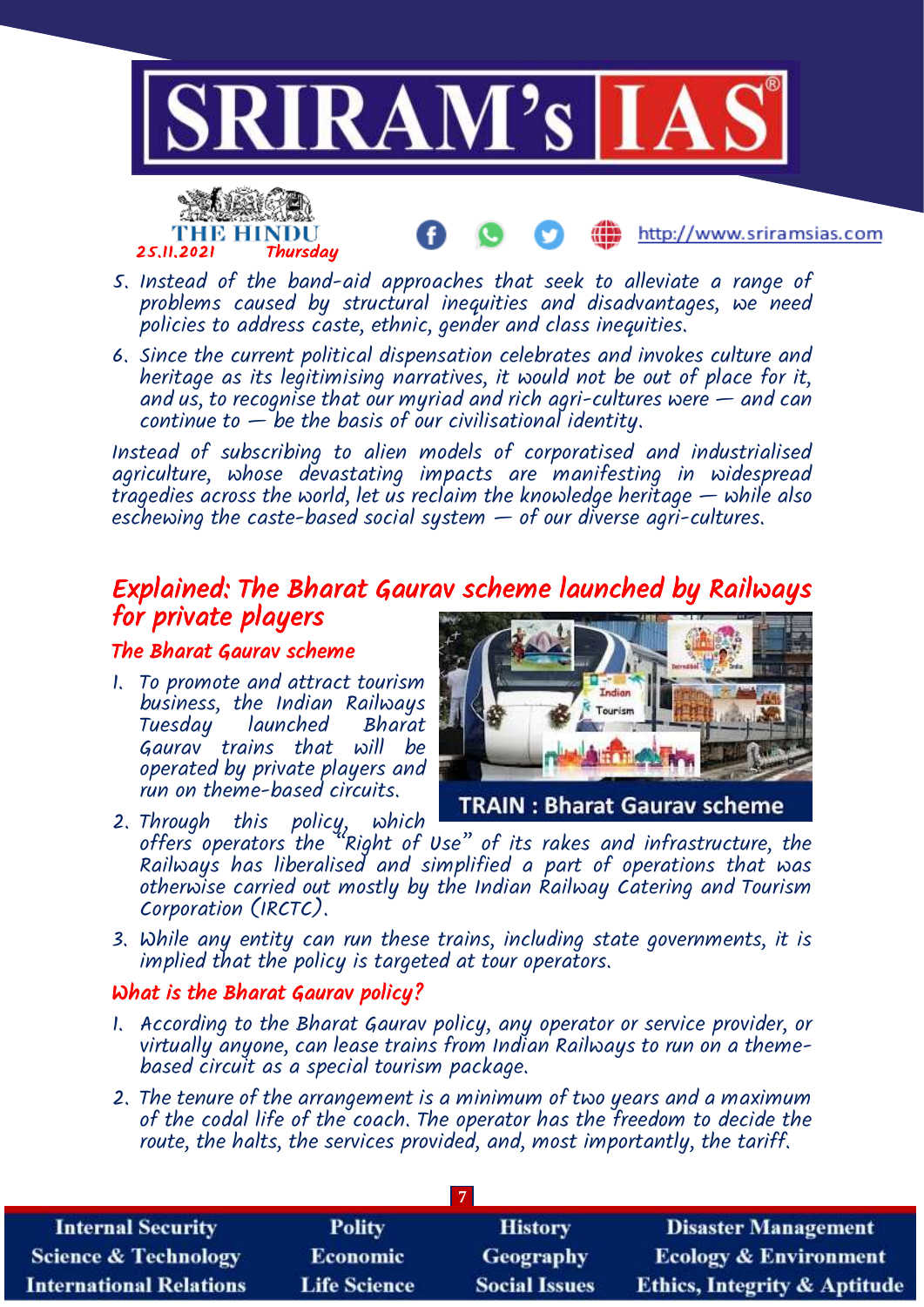



- 5. Instead of the band-aid approaches that seek to alleviate a range of problems caused by structural inequities and disadvantages, we need policies to address caste, ethnic, gender and class inequities.
- 6. Since the current political dispensation celebrates and invokes culture and heritage as its legitimising narratives, it would not be out of place for it, and  $u\ddot{s}$ , to recognise that our myriad and rich agri-cultures were  $-$  and can continue to  $-\overline{b}e$  the basis of our civilisational identity.

Instead of subscribing to alien models of corporatised and industrialised agriculture, whose devastating impacts are manifesting in widespread tragedies across the world, let us reclaim the knowledge heritage — while also eschewing the caste-based social system  $-$  of our diverse agri-cultures.

## Explained: The Bharat Gaurav scheme launched by Railways for private players

#### The Bharat Gaurav scheme

1. To promote and attract tourism business, the Indian Railways Tuesday launched Bharat Gaurav trains that will be operated by private players and run on theme-based circuits.



http://www.sriramsias.com

**TRAIN: Bharat Gaurav scheme** 

- 2. Through this policy, which offers operators the "Right of Use" of its rakes and infrastructure, the Railways has liberalised and simplified a part of operations that was otherwise carried out mostly by the Indian Railway Catering and Tourism Corporation (IRCTC).
- 3. While any entity can run these trains, including state governments, it is implied that the policy is targeted at tour operators.

#### What is the Bharat Gaurav policy?

- 1. According to the Bharat Gaurav policy, any operator or service provider, or virtually anyone, can lease trains from Indian Railways to run on a themebased circuit as a special tourism package.
- 2. The tenure of the arrangement is a minimum of two years and a maximum of the codal life of the coach. The operator has the freedom to decide the route, the halts, the services provided, and, most importantly, the tariff.

| <b>Internal Security</b>        | <b>Polity</b>       | <b>History</b>       | <b>Disaster Management</b>              |  |
|---------------------------------|---------------------|----------------------|-----------------------------------------|--|
| <b>Science &amp; Technology</b> | <b>Economic</b>     | <b>Geography</b>     | <b>Ecology &amp; Environment</b>        |  |
| <b>International Relations</b>  | <b>Life Science</b> | <b>Social Issues</b> | <b>Ethics, Integrity &amp; Aptitude</b> |  |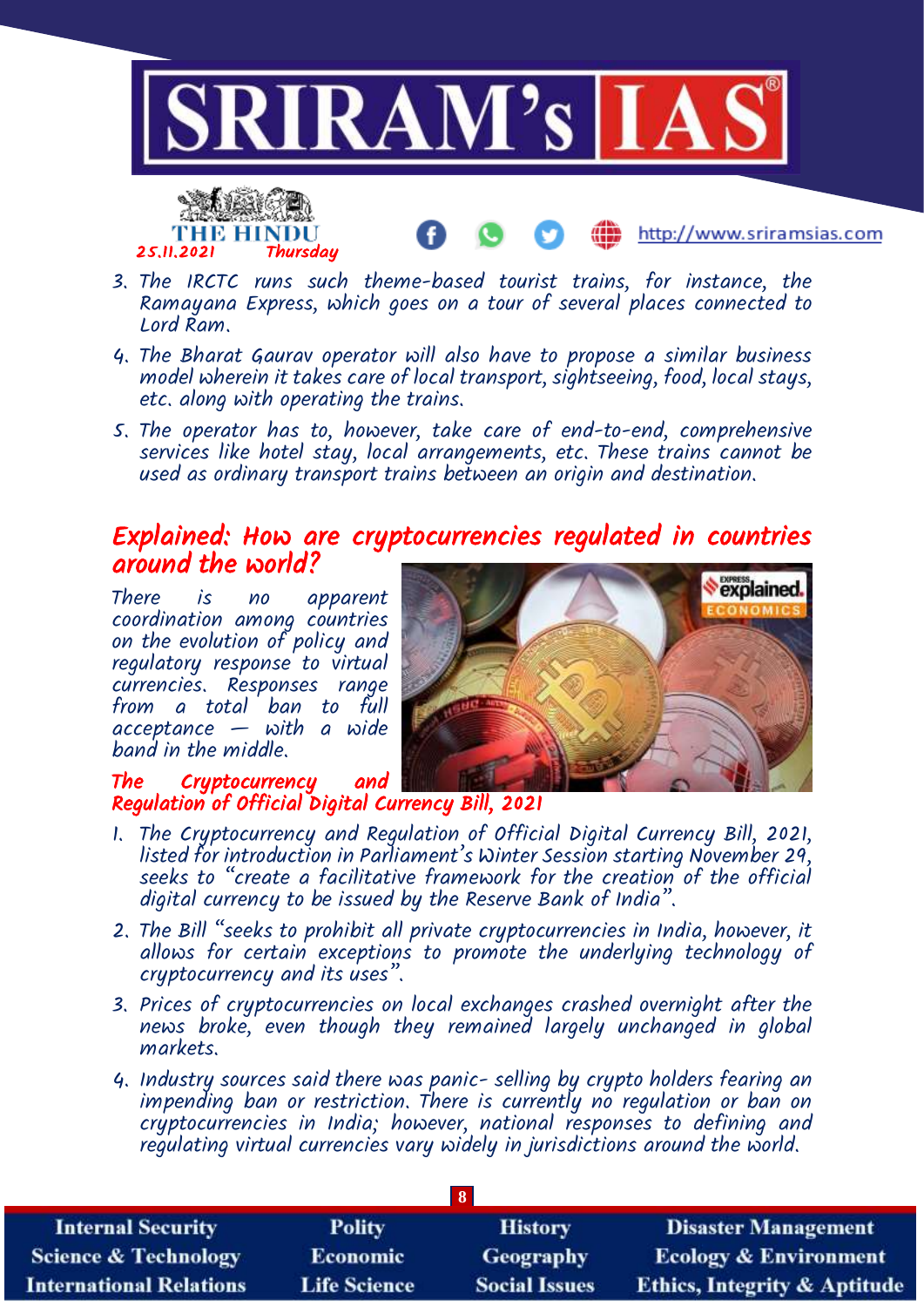



- http://www.sriramsias.com
- 3. The IRCTC runs such theme-based tourist trains, for instance, the Ramayana Express, which goes on a tour of several places connected to Lord Ram.
- 4. The Bharat Gaurav operator will also have to propose a similar business model wherein it takes care of local transport, sightseeing, food, local stays, etc. along with operating the trains.
- 5. The operator has to, however, take care of end-to-end, comprehensive services like hotel stay, local arrangements, etc. These trains cannot be used as ordinary transport trains between an origin and destination.

### Explained: How are cryptocurrencies regulated in countries around the world?

There is no apparent coordination among countries on the evolution of policy and regulatory response to virtual currencies. Responses range from a total ban to full  $acceltance$  — with a wide band in the middle.



#### The Cryptocurrency and Regulation of Official Digital Currency Bill, 2021

- 1. The Cryptocurrency and Regulation of Official Digital Currency Bill, 2021, listed for introduction in Parliament's Winter Session starting November 29, seeks to "create a facilitative framework for the creation of the official digital currency to be issued by the Reserve Bank of India".
- 2. The Bill "seeks to prohibit all private cryptocurrencies in India, however, it allows for certain exceptions to promote the underlying technology of cryptocurrency and its uses".
- 3. Prices of cryptocurrencies on local exchanges crashed overnight after the news broke, even though they remained largely unchanged in global markets.
- 4. Industry sources said there was panic- selling by crypto holders fearing an impending ban or restriction. There is currently no regulation or ban on cryptocurrencies in India; however, national responses to defining and regulating virtual currencies vary widely in jurisdictions around the world.

| <b>Internal Security</b>        | <b>Polity</b>       | <b>History</b>       | <b>Disaster Management</b>              |  |
|---------------------------------|---------------------|----------------------|-----------------------------------------|--|
| <b>Science &amp; Technology</b> | <b>Economic</b>     | <b>Geography</b>     | <b>Ecology &amp; Environment</b>        |  |
| <b>International Relations</b>  | <b>Life Science</b> | <b>Social Issues</b> | <b>Ethics, Integrity &amp; Aptitude</b> |  |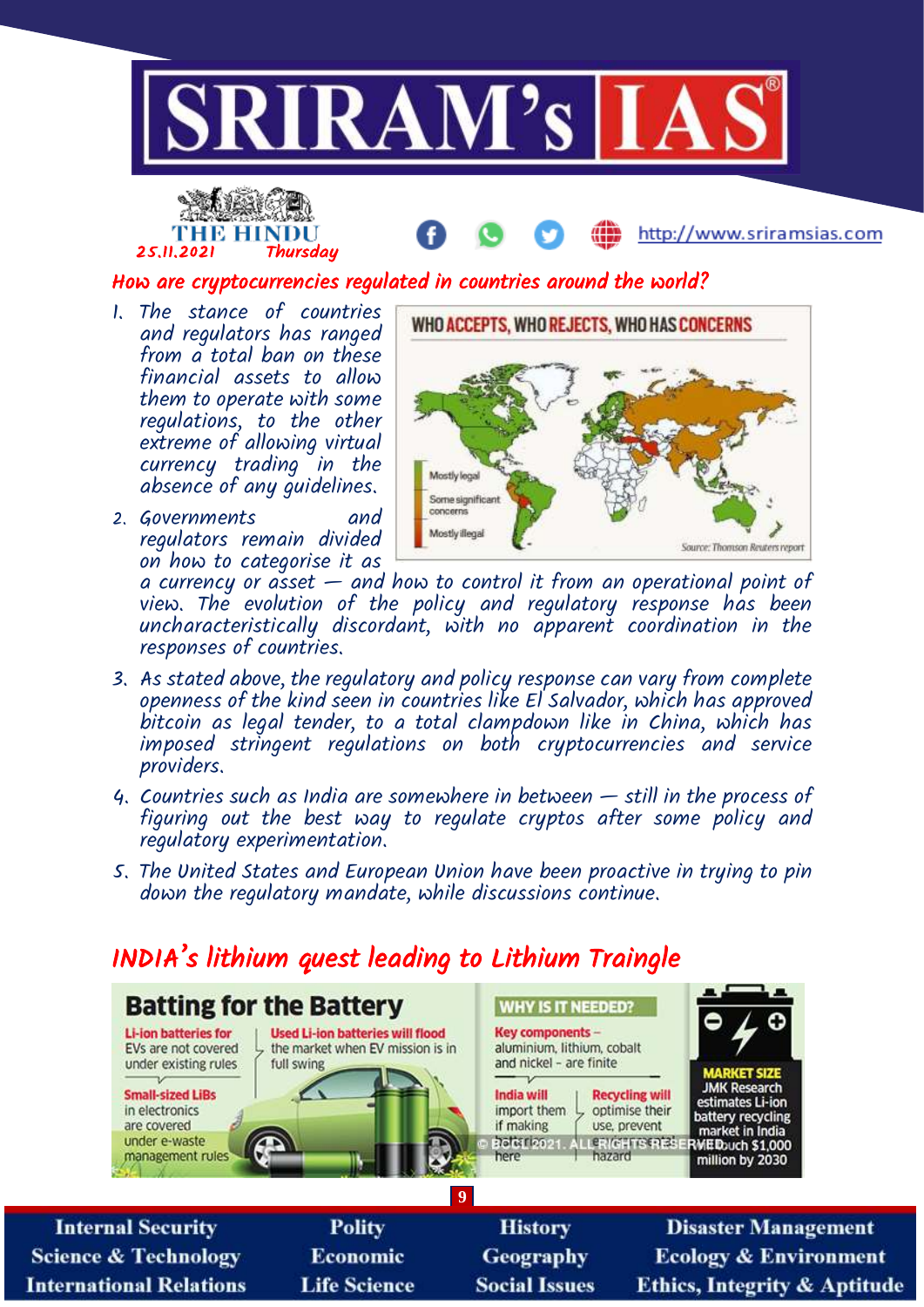





How are cryptocurrencies regulated in countries around the world?

- 1. The stance of countries and regulators has ranged from a total ban on these financial assets to allow them to operate with some regulations, to the other extreme of allowing virtual currency trading in the absence of any guidelines.
- 2. Governments and regulators remain divided on how to categorise it as



a currency or asset — and how to control it from an operational point of view. The evolution of the policy and regulatory response has been uncharacteristically discordant, with no apparent coordination in the responses of countries.

- 3. As stated above, the regulatory and policy response can vary from complete openness of the kind seen in countries like El Salvador, which has approved bitcoin as legal tender, to a total clampdown like in China, which has imposed stringent regulations on both cryptocurrencies and service providers.
- 4. Countries such as India are somewhere in between still in the process of figuring out the best way to regulate cryptos after some policy and regulatory experimentation.
- 5. The United States and European Union have been proactive in trying to pin down the regulatory mandate, while discussions continue.

# INDIA's lithium quest leading to Lithium Traingle

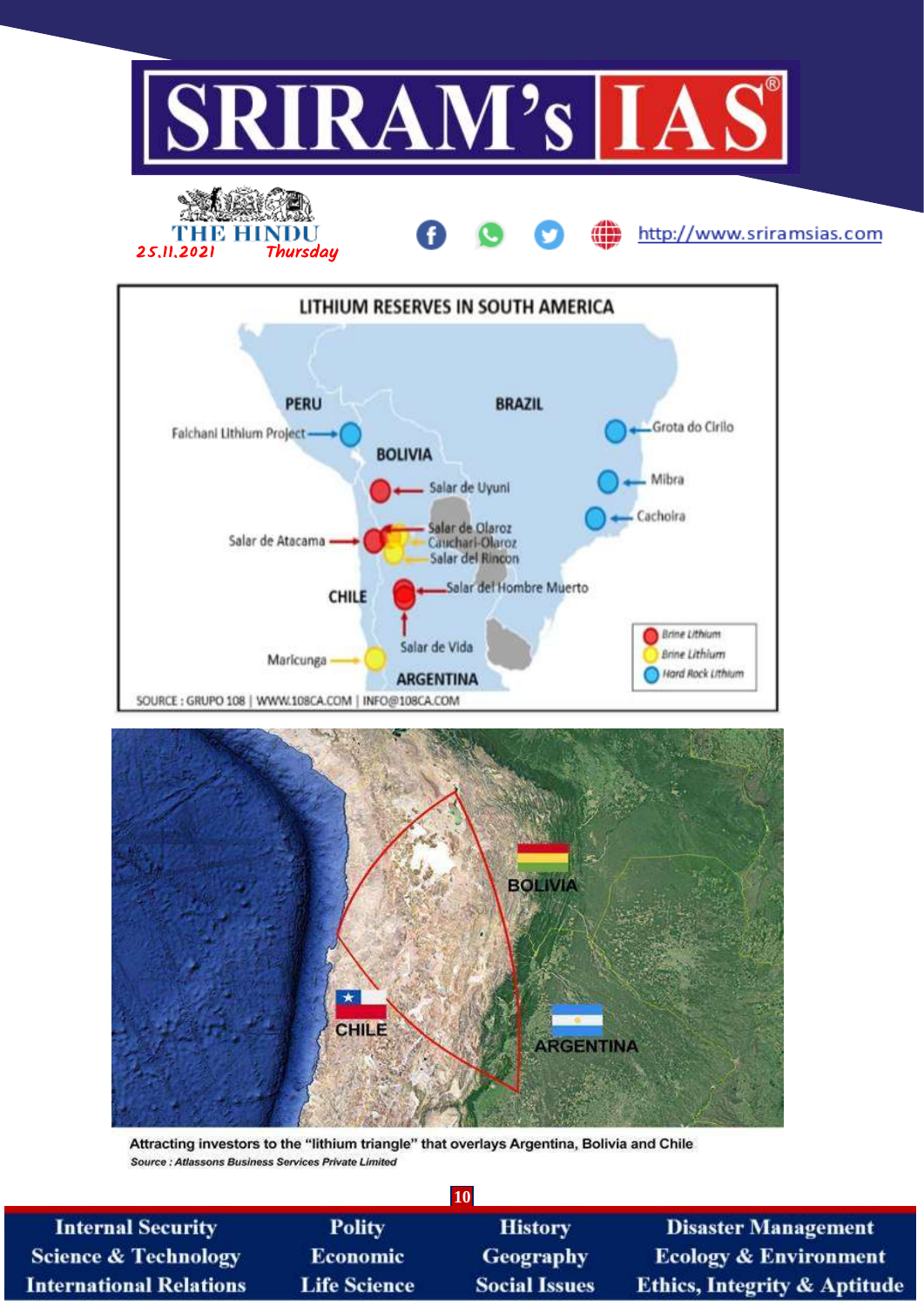







Attracting investors to the "lithium triangle" that overlays Argentina, Bolivia and Chile Source : Atlassons Business Services Private Limited

| <b>10</b>                       |                     |                      |                                         |  |
|---------------------------------|---------------------|----------------------|-----------------------------------------|--|
| <b>Internal Security</b>        | <b>Polity</b>       | <b>History</b>       | <b>Disaster Management</b>              |  |
| <b>Science &amp; Technology</b> | <b>Economic</b>     | <b>Geography</b>     | <b>Ecology &amp; Environment</b>        |  |
| <b>International Relations</b>  | <b>Life Science</b> | <b>Social Issues</b> | <b>Ethics, Integrity &amp; Aptitude</b> |  |